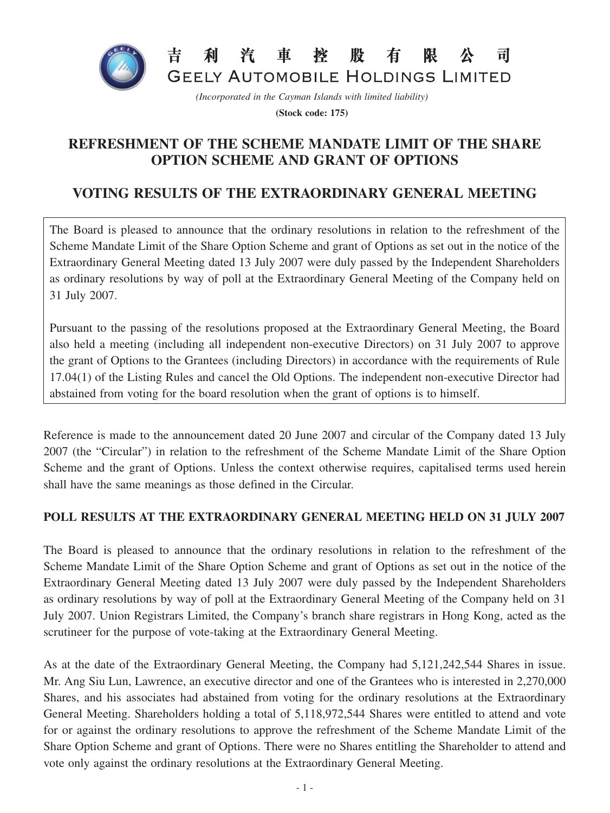

*(Incorporated in the Cayman Islands with limited liability)*

**(Stock code: 175)**

## **REFRESHMENT OF THE SCHEME MANDATE LIMIT OF THE SHARE OPTION SCHEME AND GRANT OF OPTIONS**

## **VOTING RESULTS OF THE EXTRAORDINARY GENERAL MEETING**

The Board is pleased to announce that the ordinary resolutions in relation to the refreshment of the Scheme Mandate Limit of the Share Option Scheme and grant of Options as set out in the notice of the Extraordinary General Meeting dated 13 July 2007 were duly passed by the Independent Shareholders as ordinary resolutions by way of poll at the Extraordinary General Meeting of the Company held on 31 July 2007.

Pursuant to the passing of the resolutions proposed at the Extraordinary General Meeting, the Board also held a meeting (including all independent non-executive Directors) on 31 July 2007 to approve the grant of Options to the Grantees (including Directors) in accordance with the requirements of Rule 17.04(1) of the Listing Rules and cancel the Old Options. The independent non-executive Director had abstained from voting for the board resolution when the grant of options is to himself.

Reference is made to the announcement dated 20 June 2007 and circular of the Company dated 13 July 2007 (the "Circular") in relation to the refreshment of the Scheme Mandate Limit of the Share Option Scheme and the grant of Options. Unless the context otherwise requires, capitalised terms used herein shall have the same meanings as those defined in the Circular.

## **POLL RESULTS AT THE EXTRAORDINARY GENERAL MEETING HELD ON 31 JULY 2007**

The Board is pleased to announce that the ordinary resolutions in relation to the refreshment of the Scheme Mandate Limit of the Share Option Scheme and grant of Options as set out in the notice of the Extraordinary General Meeting dated 13 July 2007 were duly passed by the Independent Shareholders as ordinary resolutions by way of poll at the Extraordinary General Meeting of the Company held on 31 July 2007. Union Registrars Limited, the Company's branch share registrars in Hong Kong, acted as the scrutineer for the purpose of vote-taking at the Extraordinary General Meeting.

As at the date of the Extraordinary General Meeting, the Company had 5,121,242,544 Shares in issue. Mr. Ang Siu Lun, Lawrence, an executive director and one of the Grantees who is interested in 2,270,000 Shares, and his associates had abstained from voting for the ordinary resolutions at the Extraordinary General Meeting. Shareholders holding a total of 5,118,972,544 Shares were entitled to attend and vote for or against the ordinary resolutions to approve the refreshment of the Scheme Mandate Limit of the Share Option Scheme and grant of Options. There were no Shares entitling the Shareholder to attend and vote only against the ordinary resolutions at the Extraordinary General Meeting.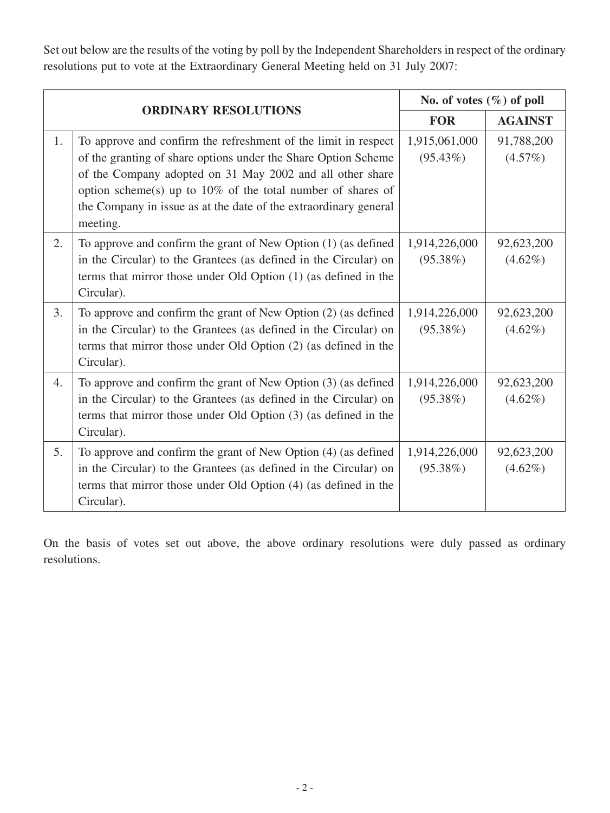Set out below are the results of the voting by poll by the Independent Shareholders in respect of the ordinary resolutions put to vote at the Extraordinary General Meeting held on 31 July 2007:

| <b>ORDINARY RESOLUTIONS</b> |                                                                                                                                                                                                                                                                                                                                                 | No. of votes $(\%)$ of poll  |                          |
|-----------------------------|-------------------------------------------------------------------------------------------------------------------------------------------------------------------------------------------------------------------------------------------------------------------------------------------------------------------------------------------------|------------------------------|--------------------------|
|                             |                                                                                                                                                                                                                                                                                                                                                 | <b>FOR</b>                   | <b>AGAINST</b>           |
| 1.                          | To approve and confirm the refreshment of the limit in respect<br>of the granting of share options under the Share Option Scheme<br>of the Company adopted on 31 May 2002 and all other share<br>option scheme(s) up to $10\%$ of the total number of shares of<br>the Company in issue as at the date of the extraordinary general<br>meeting. | 1,915,061,000<br>$(95.43\%)$ | 91,788,200<br>(4.57%)    |
| 2.                          | To approve and confirm the grant of New Option (1) (as defined<br>in the Circular) to the Grantees (as defined in the Circular) on<br>terms that mirror those under Old Option (1) (as defined in the<br>Circular).                                                                                                                             | 1,914,226,000<br>$(95.38\%)$ | 92,623,200<br>$(4.62\%)$ |
| 3.                          | To approve and confirm the grant of New Option (2) (as defined<br>in the Circular) to the Grantees (as defined in the Circular) on<br>terms that mirror those under Old Option (2) (as defined in the<br>Circular).                                                                                                                             | 1,914,226,000<br>$(95.38\%)$ | 92,623,200<br>$(4.62\%)$ |
| 4.                          | To approve and confirm the grant of New Option (3) (as defined<br>in the Circular) to the Grantees (as defined in the Circular) on<br>terms that mirror those under Old Option (3) (as defined in the<br>Circular).                                                                                                                             | 1,914,226,000<br>$(95.38\%)$ | 92,623,200<br>$(4.62\%)$ |
| 5.                          | To approve and confirm the grant of New Option (4) (as defined<br>in the Circular) to the Grantees (as defined in the Circular) on<br>terms that mirror those under Old Option (4) (as defined in the<br>Circular).                                                                                                                             | 1,914,226,000<br>$(95.38\%)$ | 92,623,200<br>$(4.62\%)$ |

On the basis of votes set out above, the above ordinary resolutions were duly passed as ordinary resolutions.